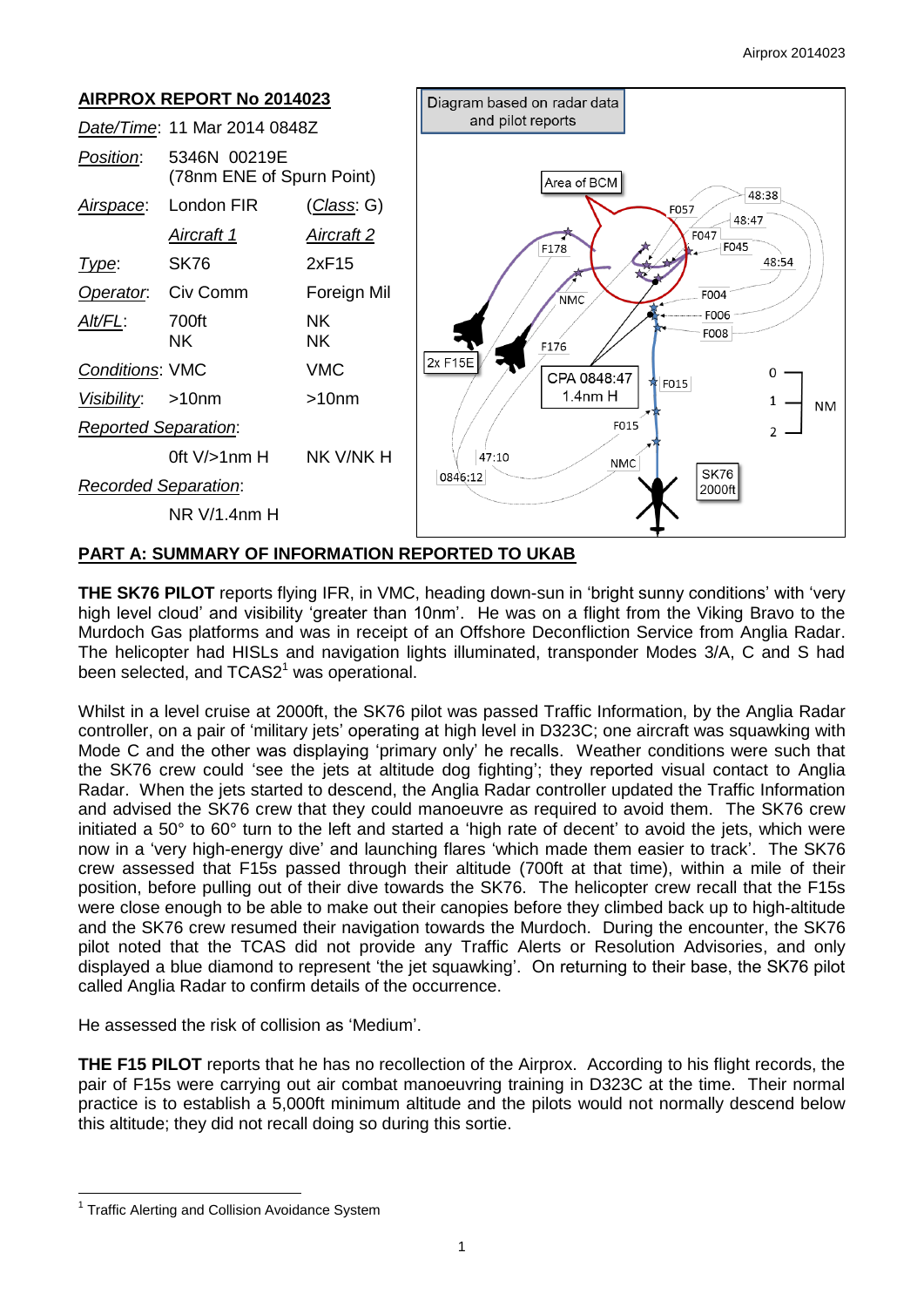

# **PART A: SUMMARY OF INFORMATION REPORTED TO UKAB**

**THE SK76 PILOT** reports flying IFR, in VMC, heading down-sun in 'bright sunny conditions' with 'very high level cloud' and visibility 'greater than 10nm'. He was on a flight from the Viking Bravo to the Murdoch Gas platforms and was in receipt of an Offshore Deconfliction Service from Anglia Radar. The helicopter had HISLs and navigation lights illuminated, transponder Modes 3/A, C and S had been selected, and TCAS2<sup>1</sup> was operational.

Whilst in a level cruise at 2000ft, the SK76 pilot was passed Traffic Information, by the Anglia Radar controller, on a pair of 'military jets' operating at high level in D323C; one aircraft was squawking with Mode C and the other was displaying 'primary only' he recalls. Weather conditions were such that the SK76 crew could 'see the jets at altitude dog fighting'; they reported visual contact to Anglia Radar. When the jets started to descend, the Anglia Radar controller updated the Traffic Information and advised the SK76 crew that they could manoeuvre as required to avoid them. The SK76 crew initiated a 50° to 60° turn to the left and started a 'high rate of decent' to avoid the jets, which were now in a 'very high-energy dive' and launching flares 'which made them easier to track'. The SK76 crew assessed that F15s passed through their altitude (700ft at that time), within a mile of their position, before pulling out of their dive towards the SK76. The helicopter crew recall that the F15s were close enough to be able to make out their canopies before they climbed back up to high-altitude and the SK76 crew resumed their navigation towards the Murdoch. During the encounter, the SK76 pilot noted that the TCAS did not provide any Traffic Alerts or Resolution Advisories, and only displayed a blue diamond to represent 'the jet squawking'. On returning to their base, the SK76 pilot called Anglia Radar to confirm details of the occurrence.

He assessed the risk of collision as 'Medium'.

**THE F15 PILOT** reports that he has no recollection of the Airprox. According to his flight records, the pair of F15s were carrying out air combat manoeuvring training in D323C at the time. Their normal practice is to establish a 5,000ft minimum altitude and the pilots would not normally descend below this altitude; they did not recall doing so during this sortie.

 $\overline{a}$ 

<sup>&</sup>lt;sup>1</sup> Traffic Alerting and Collision Avoidance System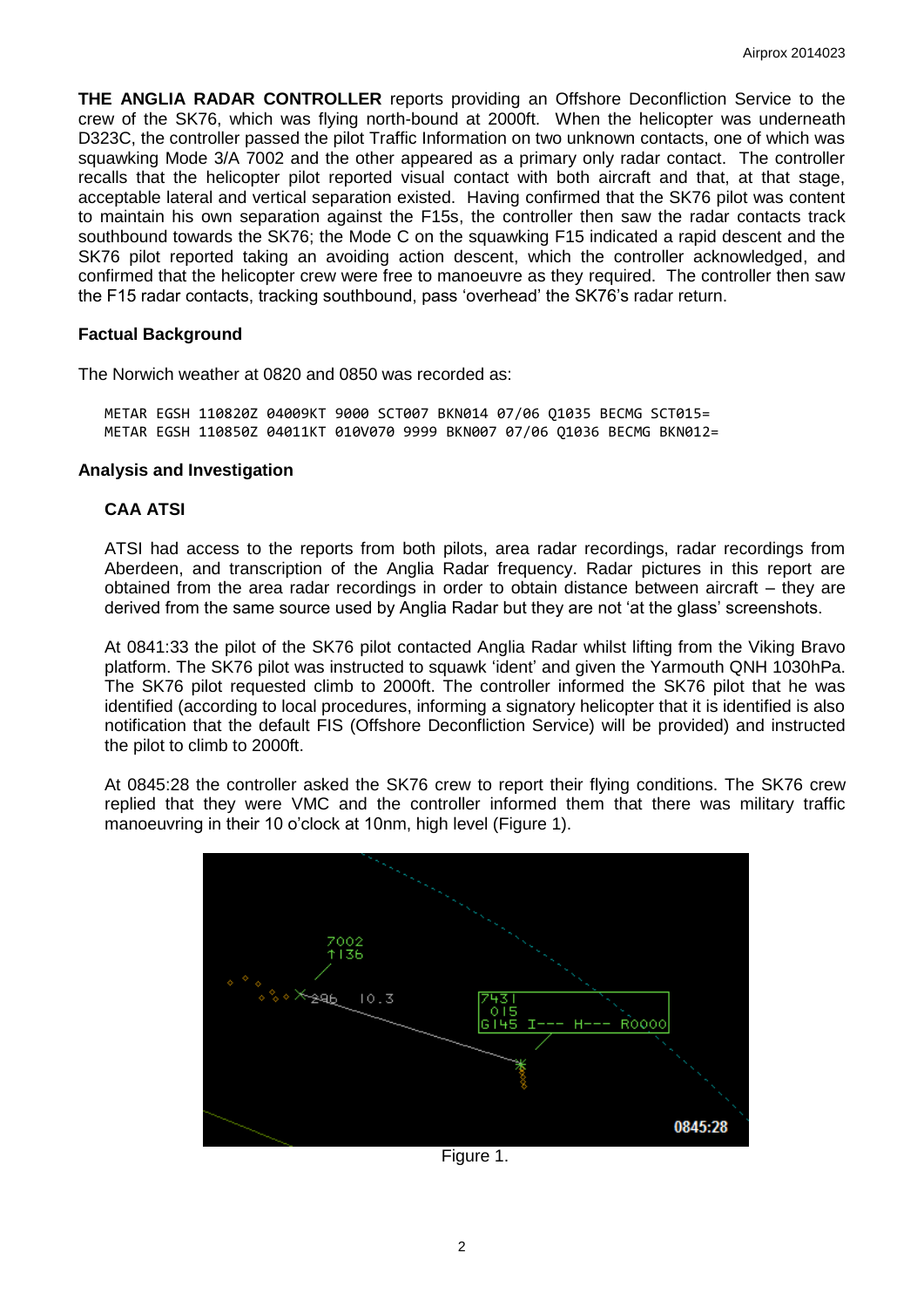**THE ANGLIA RADAR CONTROLLER** reports providing an Offshore Deconfliction Service to the crew of the SK76, which was flying north-bound at 2000ft. When the helicopter was underneath D323C, the controller passed the pilot Traffic Information on two unknown contacts, one of which was squawking Mode 3/A 7002 and the other appeared as a primary only radar contact. The controller recalls that the helicopter pilot reported visual contact with both aircraft and that, at that stage, acceptable lateral and vertical separation existed. Having confirmed that the SK76 pilot was content to maintain his own separation against the F15s, the controller then saw the radar contacts track southbound towards the SK76; the Mode C on the squawking F15 indicated a rapid descent and the SK76 pilot reported taking an avoiding action descent, which the controller acknowledged, and confirmed that the helicopter crew were free to manoeuvre as they required. The controller then saw the F15 radar contacts, tracking southbound, pass 'overhead' the SK76's radar return.

#### **Factual Background**

The Norwich weather at 0820 and 0850 was recorded as:

METAR EGSH 110820Z 04009KT 9000 SCT007 BKN014 07/06 Q1035 BECMG SCT015= METAR EGSH 110850Z 04011KT 010V070 9999 BKN007 07/06 Q1036 BECMG BKN012=

#### **Analysis and Investigation**

#### **CAA ATSI**

ATSI had access to the reports from both pilots, area radar recordings, radar recordings from Aberdeen, and transcription of the Anglia Radar frequency. Radar pictures in this report are obtained from the area radar recordings in order to obtain distance between aircraft – they are derived from the same source used by Anglia Radar but they are not 'at the glass' screenshots.

At 0841:33 the pilot of the SK76 pilot contacted Anglia Radar whilst lifting from the Viking Bravo platform. The SK76 pilot was instructed to squawk 'ident' and given the Yarmouth QNH 1030hPa. The SK76 pilot requested climb to 2000ft. The controller informed the SK76 pilot that he was identified (according to local procedures, informing a signatory helicopter that it is identified is also notification that the default FIS (Offshore Deconfliction Service) will be provided) and instructed the pilot to climb to 2000ft.

At 0845:28 the controller asked the SK76 crew to report their flying conditions. The SK76 crew replied that they were VMC and the controller informed them that there was military traffic manoeuvring in their 10 o'clock at 10nm, high level (Figure 1).



Figure 1.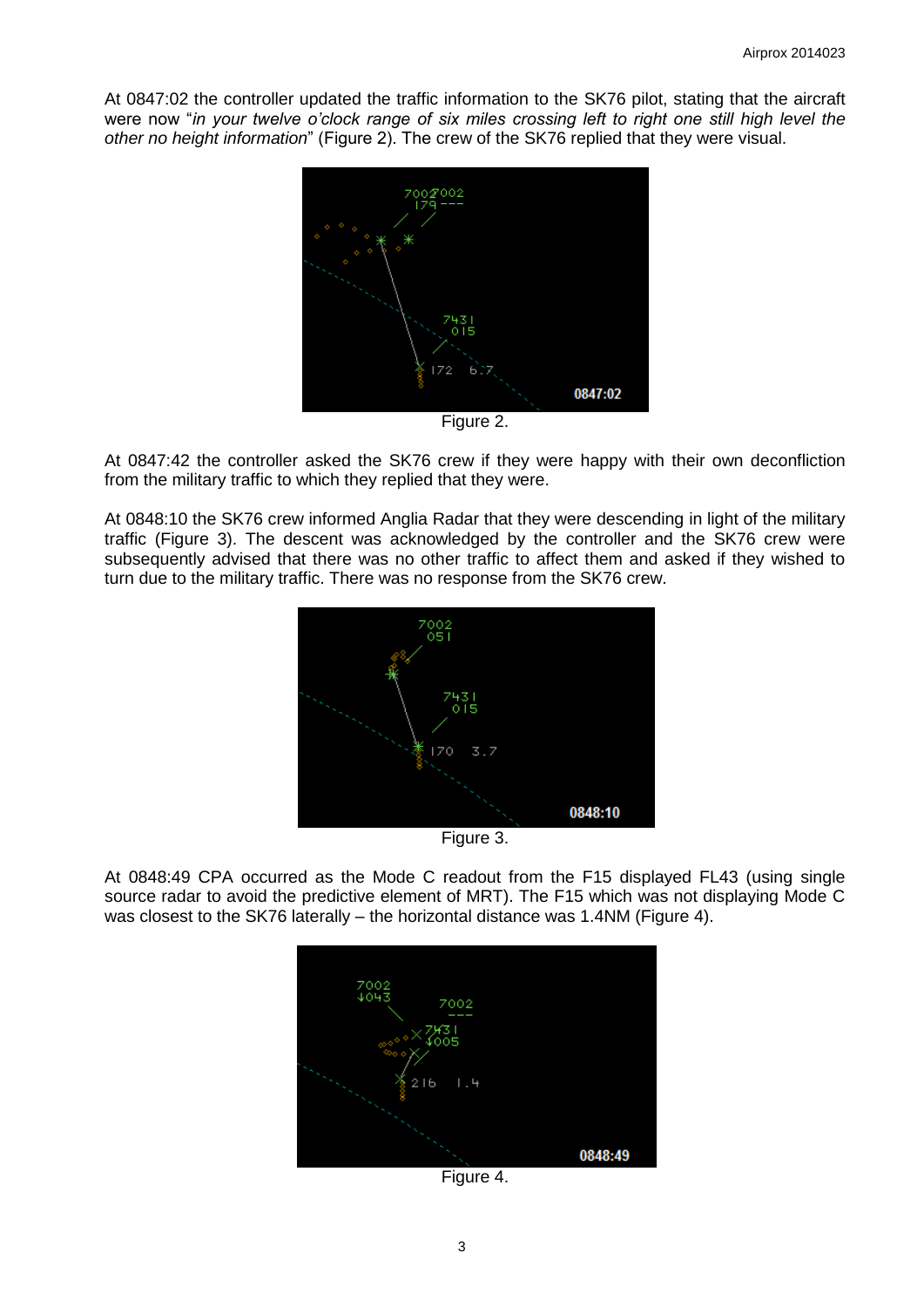At 0847:02 the controller updated the traffic information to the SK76 pilot, stating that the aircraft were now "*in your twelve o'clock range of six miles crossing left to right one still high level the other no height information*" (Figure 2). The crew of the SK76 replied that they were visual.



Figure 2.

At 0847:42 the controller asked the SK76 crew if they were happy with their own deconfliction from the military traffic to which they replied that they were.

At 0848:10 the SK76 crew informed Anglia Radar that they were descending in light of the military traffic (Figure 3). The descent was acknowledged by the controller and the SK76 crew were subsequently advised that there was no other traffic to affect them and asked if they wished to turn due to the military traffic. There was no response from the SK76 crew.



Figure 3.

At 0848:49 CPA occurred as the Mode C readout from the F15 displayed FL43 (using single source radar to avoid the predictive element of MRT). The F15 which was not displaying Mode C was closest to the SK76 laterally – the horizontal distance was 1.4NM (Figure 4).



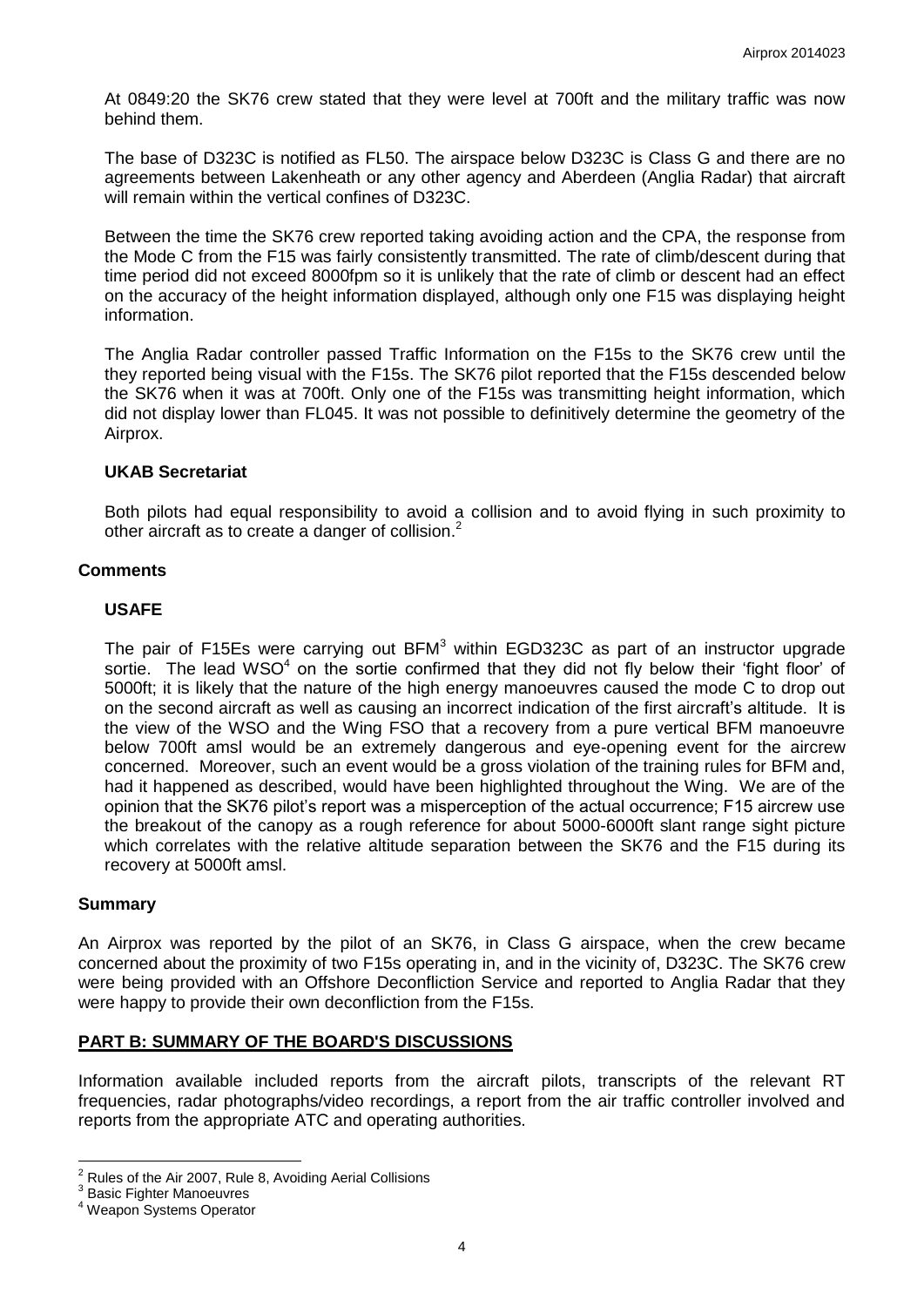At 0849:20 the SK76 crew stated that they were level at 700ft and the military traffic was now behind them.

The base of D323C is notified as FL50. The airspace below D323C is Class G and there are no agreements between Lakenheath or any other agency and Aberdeen (Anglia Radar) that aircraft will remain within the vertical confines of D323C.

Between the time the SK76 crew reported taking avoiding action and the CPA, the response from the Mode C from the F15 was fairly consistently transmitted. The rate of climb/descent during that time period did not exceed 8000fpm so it is unlikely that the rate of climb or descent had an effect on the accuracy of the height information displayed, although only one F15 was displaying height information.

The Anglia Radar controller passed Traffic Information on the F15s to the SK76 crew until the they reported being visual with the F15s. The SK76 pilot reported that the F15s descended below the SK76 when it was at 700ft. Only one of the F15s was transmitting height information, which did not display lower than FL045. It was not possible to definitively determine the geometry of the Airprox.

### **UKAB Secretariat**

Both pilots had equal responsibility to avoid a collision and to avoid flying in such proximity to other aircraft as to create a danger of collision.<sup>2</sup>

### **Comments**

### **USAFE**

The pair of F15Es were carrying out BFM<sup>3</sup> within EGD323C as part of an instructor upgrade sortie. The lead WSO $4$  on the sortie confirmed that they did not fly below their 'fight floor' of 5000ft; it is likely that the nature of the high energy manoeuvres caused the mode C to drop out on the second aircraft as well as causing an incorrect indication of the first aircraft's altitude. It is the view of the WSO and the Wing FSO that a recovery from a pure vertical BFM manoeuvre below 700ft amsl would be an extremely dangerous and eye-opening event for the aircrew concerned. Moreover, such an event would be a gross violation of the training rules for BFM and, had it happened as described, would have been highlighted throughout the Wing. We are of the opinion that the SK76 pilot's report was a misperception of the actual occurrence; F15 aircrew use the breakout of the canopy as a rough reference for about 5000-6000ft slant range sight picture which correlates with the relative altitude separation between the SK76 and the F15 during its recovery at 5000ft amsl.

#### **Summary**

An Airprox was reported by the pilot of an SK76, in Class G airspace, when the crew became concerned about the proximity of two F15s operating in, and in the vicinity of, D323C. The SK76 crew were being provided with an Offshore Deconfliction Service and reported to Anglia Radar that they were happy to provide their own deconfliction from the F15s.

# **PART B: SUMMARY OF THE BOARD'S DISCUSSIONS**

Information available included reports from the aircraft pilots, transcripts of the relevant RT frequencies, radar photographs/video recordings, a report from the air traffic controller involved and reports from the appropriate ATC and operating authorities.

 $\overline{a}$  $2$  Rules of the Air 2007, Rule 8, Avoiding Aerial Collisions

<sup>&</sup>lt;sup>3</sup> Basic Fighter Manoeuvres

<sup>4</sup> Weapon Systems Operator